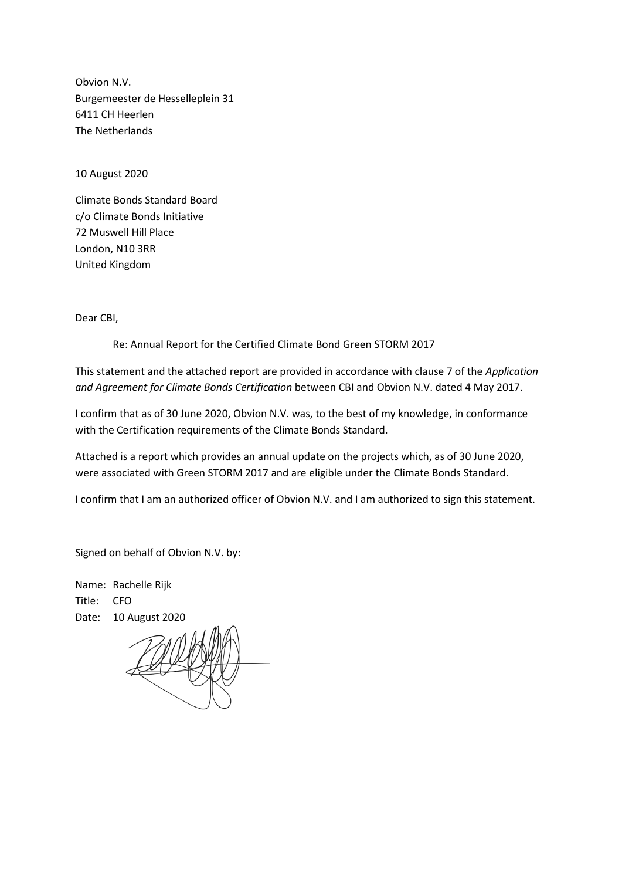Obvion N.V. Burgemeester de Hesselleplein 31 6411 CH Heerlen The Netherlands

10 August 2020

Climate Bonds Standard Board c/o Climate Bonds Initiative 72 Muswell Hill Place London, N10 3RR United Kingdom

Dear CBI,

Re: Annual Report for the Certified Climate Bond Green STORM 2017

This statement and the attached report are provided in accordance with clause 7 of the *Application and Agreement for Climate Bonds Certification* between CBI and Obvion N.V. dated 4 May 2017.

I confirm that as of 30 June 2020, Obvion N.V. was, to the best of my knowledge, in conformance with the Certification requirements of the Climate Bonds Standard.

Attached is a report which provides an annual update on the projects which, as of 30 June 2020, were associated with Green STORM 2017 and are eligible under the Climate Bonds Standard.

I confirm that I am an authorized officer of Obvion N.V. and I am authorized to sign this statement.

Signed on behalf of Obvion N.V. by:

Name: Rachelle Rijk Title: CFO Date: 10 August 2020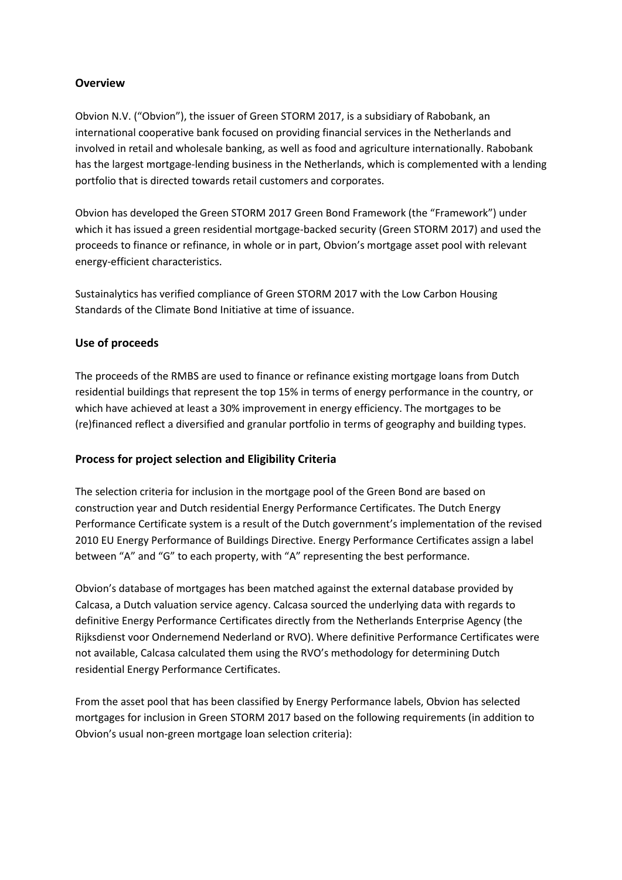## **Overview**

Obvion N.V. ("Obvion"), the issuer of Green STORM 2017, is a subsidiary of Rabobank, an international cooperative bank focused on providing financial services in the Netherlands and involved in retail and wholesale banking, as well as food and agriculture internationally. Rabobank has the largest mortgage-lending business in the Netherlands, which is complemented with a lending portfolio that is directed towards retail customers and corporates.

Obvion has developed the Green STORM 2017 Green Bond Framework (the "Framework") under which it has issued a green residential mortgage-backed security (Green STORM 2017) and used the proceeds to finance or refinance, in whole or in part, Obvion's mortgage asset pool with relevant energy-efficient characteristics.

Sustainalytics has verified compliance of Green STORM 2017 with the Low Carbon Housing Standards of the Climate Bond Initiative at time of issuance.

## **Use of proceeds**

The proceeds of the RMBS are used to finance or refinance existing mortgage loans from Dutch residential buildings that represent the top 15% in terms of energy performance in the country, or which have achieved at least a 30% improvement in energy efficiency. The mortgages to be (re)financed reflect a diversified and granular portfolio in terms of geography and building types.

## **Process for project selection and Eligibility Criteria**

The selection criteria for inclusion in the mortgage pool of the Green Bond are based on construction year and Dutch residential Energy Performance Certificates. The Dutch Energy Performance Certificate system is a result of the Dutch government's implementation of the revised 2010 EU Energy Performance of Buildings Directive. Energy Performance Certificates assign a label between "A" and "G" to each property, with "A" representing the best performance.

Obvion's database of mortgages has been matched against the external database provided by Calcasa, a Dutch valuation service agency. Calcasa sourced the underlying data with regards to definitive Energy Performance Certificates directly from the Netherlands Enterprise Agency (the Rijksdienst voor Ondernemend Nederland or RVO). Where definitive Performance Certificates were not available, Calcasa calculated them using the RVO's methodology for determining Dutch residential Energy Performance Certificates.

From the asset pool that has been classified by Energy Performance labels, Obvion has selected mortgages for inclusion in Green STORM 2017 based on the following requirements (in addition to Obvion's usual non-green mortgage loan selection criteria):